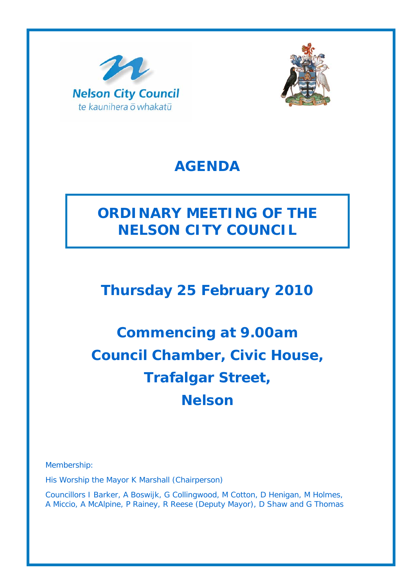



### **AGENDA**

# **ORDINARY MEETING OF THE NELSON CITY COUNCIL**

# **Thursday 25 February 2010**

# **Commencing at 9.00am Council Chamber, Civic House, Trafalgar Street, Nelson**

Membership:

His Worship the Mayor K Marshall (Chairperson)

Councillors I Barker, A Boswijk, G Collingwood, M Cotton, D Henigan, M Holmes, A Miccio, A McAlpine, P Rainey, R Reese (Deputy Mayor), D Shaw and G Thomas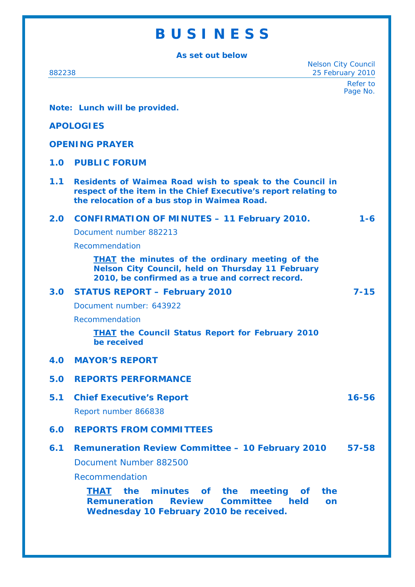# **B U S I N E S S**

**As set out below** 

| As set out below                                         |                                                                                                                                                                                                 |                      |
|----------------------------------------------------------|-------------------------------------------------------------------------------------------------------------------------------------------------------------------------------------------------|----------------------|
| <b>Nelson City Council</b><br>25 February 2010<br>882238 |                                                                                                                                                                                                 |                      |
|                                                          |                                                                                                                                                                                                 | Refer to<br>Page No. |
| Note: Lunch will be provided.                            |                                                                                                                                                                                                 |                      |
|                                                          |                                                                                                                                                                                                 |                      |
| <b>APOLOGIES</b>                                         |                                                                                                                                                                                                 |                      |
| <b>OPENING PRAYER</b>                                    |                                                                                                                                                                                                 |                      |
| 1.0                                                      | <b>PUBLIC FORUM</b>                                                                                                                                                                             |                      |
| 1.1                                                      | Residents of Waimea Road wish to speak to the Council in<br>respect of the item in the Chief Executive's report relating to<br>the relocation of a bus stop in Waimea Road.                     |                      |
| 2.0                                                      | <b>CONFIRMATION OF MINUTES - 11 February 2010.</b>                                                                                                                                              | $1 - 6$              |
|                                                          | Document number 882213                                                                                                                                                                          |                      |
|                                                          | Recommendation                                                                                                                                                                                  |                      |
|                                                          | <b>THAT</b> the minutes of the ordinary meeting of the<br><b>Nelson City Council, held on Thursday 11 February</b><br>2010, be confirmed as a true and correct record.                          |                      |
| 3.0                                                      | <b>STATUS REPORT - February 2010</b>                                                                                                                                                            | $7 - 15$             |
|                                                          | Document number: 643922                                                                                                                                                                         |                      |
|                                                          | Recommendation                                                                                                                                                                                  |                      |
|                                                          | <b>THAT the Council Status Report for February 2010</b><br>be received                                                                                                                          |                      |
| 4.0                                                      | <b>MAYOR'S REPORT</b>                                                                                                                                                                           |                      |
| 5.0                                                      | <b>REPORTS PERFORMANCE</b>                                                                                                                                                                      |                      |
| 5.1                                                      | <b>Chief Executive's Report</b>                                                                                                                                                                 | $16 - 56$            |
|                                                          | Report number 866838                                                                                                                                                                            |                      |
| 6.0                                                      | <b>REPORTS FROM COMMITTEES</b>                                                                                                                                                                  |                      |
| 6.1                                                      | <b>Remuneration Review Committee - 10 February 2010</b>                                                                                                                                         | $57 - 58$            |
|                                                          | Document Number 882500                                                                                                                                                                          |                      |
|                                                          | Recommendation                                                                                                                                                                                  |                      |
|                                                          | minutes of the<br>meeting<br>the<br><i>the</i><br><b>THAT</b><br><b>of</b><br><b>Committee</b><br><b>Remuneration</b><br><b>Review</b><br>held<br>on<br>Wednesday 10 February 2010 be received. |                      |